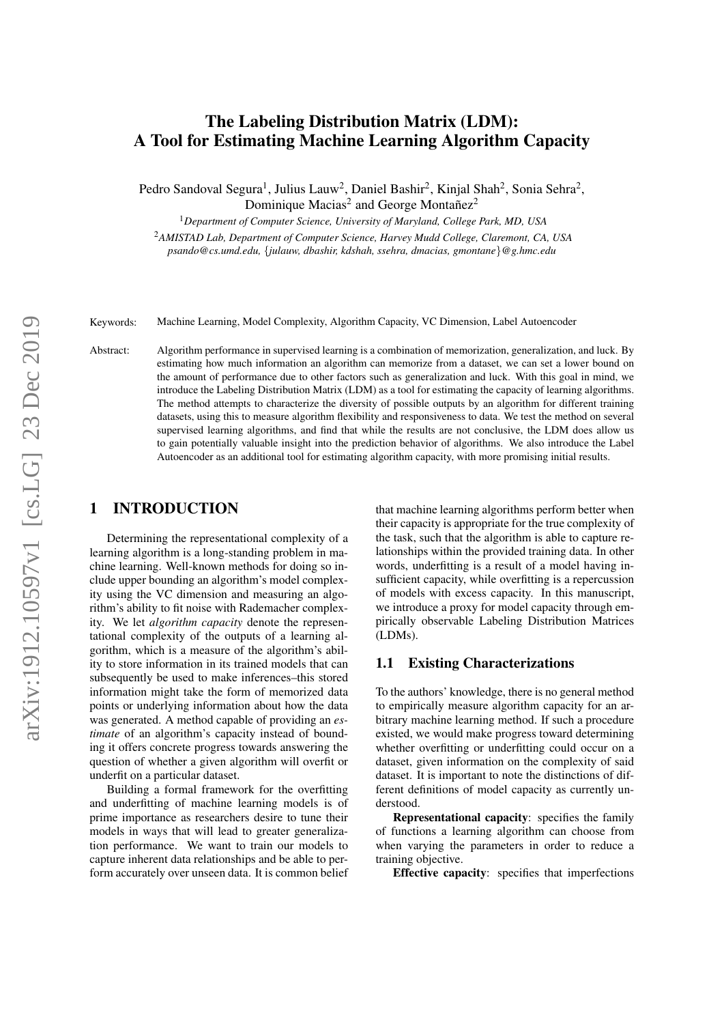# The Labeling Distribution Matrix (LDM): A Tool for Estimating Machine Learning Algorithm Capacity

Pedro Sandoval Segura<sup>1</sup>, Julius Lauw<sup>2</sup>, Daniel Bashir<sup>2</sup>, Kinjal Shah<sup>2</sup>, Sonia Sehra<sup>2</sup>, Dominique Macias<sup>2</sup> and George Montañez<sup>2</sup>

<sup>1</sup>*Department of Computer Science, University of Maryland, College Park, MD, USA*

<sup>2</sup>*AMISTAD Lab, Department of Computer Science, Harvey Mudd College, Claremont, CA, USA psando@cs.umd.edu,* {*julauw, dbashir, kdshah, ssehra, dmacias, gmontane*}*@g.hmc.edu*

Keywords: Machine Learning, Model Complexity, Algorithm Capacity, VC Dimension, Label Autoencoder

Abstract: Algorithm performance in supervised learning is a combination of memorization, generalization, and luck. By estimating how much information an algorithm can memorize from a dataset, we can set a lower bound on the amount of performance due to other factors such as generalization and luck. With this goal in mind, we introduce the Labeling Distribution Matrix (LDM) as a tool for estimating the capacity of learning algorithms. The method attempts to characterize the diversity of possible outputs by an algorithm for different training datasets, using this to measure algorithm flexibility and responsiveness to data. We test the method on several supervised learning algorithms, and find that while the results are not conclusive, the LDM does allow us to gain potentially valuable insight into the prediction behavior of algorithms. We also introduce the Label Autoencoder as an additional tool for estimating algorithm capacity, with more promising initial results.

### 1 INTRODUCTION

Determining the representational complexity of a learning algorithm is a long-standing problem in machine learning. Well-known methods for doing so include upper bounding an algorithm's model complexity using the VC dimension and measuring an algorithm's ability to fit noise with Rademacher complexity. We let *algorithm capacity* denote the representational complexity of the outputs of a learning algorithm, which is a measure of the algorithm's ability to store information in its trained models that can subsequently be used to make inferences–this stored information might take the form of memorized data points or underlying information about how the data was generated. A method capable of providing an *estimate* of an algorithm's capacity instead of bounding it offers concrete progress towards answering the question of whether a given algorithm will overfit or underfit on a particular dataset.

Building a formal framework for the overfitting and underfitting of machine learning models is of prime importance as researchers desire to tune their models in ways that will lead to greater generalization performance. We want to train our models to capture inherent data relationships and be able to perform accurately over unseen data. It is common belief

that machine learning algorithms perform better when their capacity is appropriate for the true complexity of the task, such that the algorithm is able to capture relationships within the provided training data. In other words, underfitting is a result of a model having insufficient capacity, while overfitting is a repercussion of models with excess capacity. In this manuscript, we introduce a proxy for model capacity through empirically observable Labeling Distribution Matrices (LDMs).

### 1.1 Existing Characterizations

To the authors' knowledge, there is no general method to empirically measure algorithm capacity for an arbitrary machine learning method. If such a procedure existed, we would make progress toward determining whether overfitting or underfitting could occur on a dataset, given information on the complexity of said dataset. It is important to note the distinctions of different definitions of model capacity as currently understood.

Representational capacity: specifies the family of functions a learning algorithm can choose from when varying the parameters in order to reduce a training objective.

Effective capacity: specifies that imperfections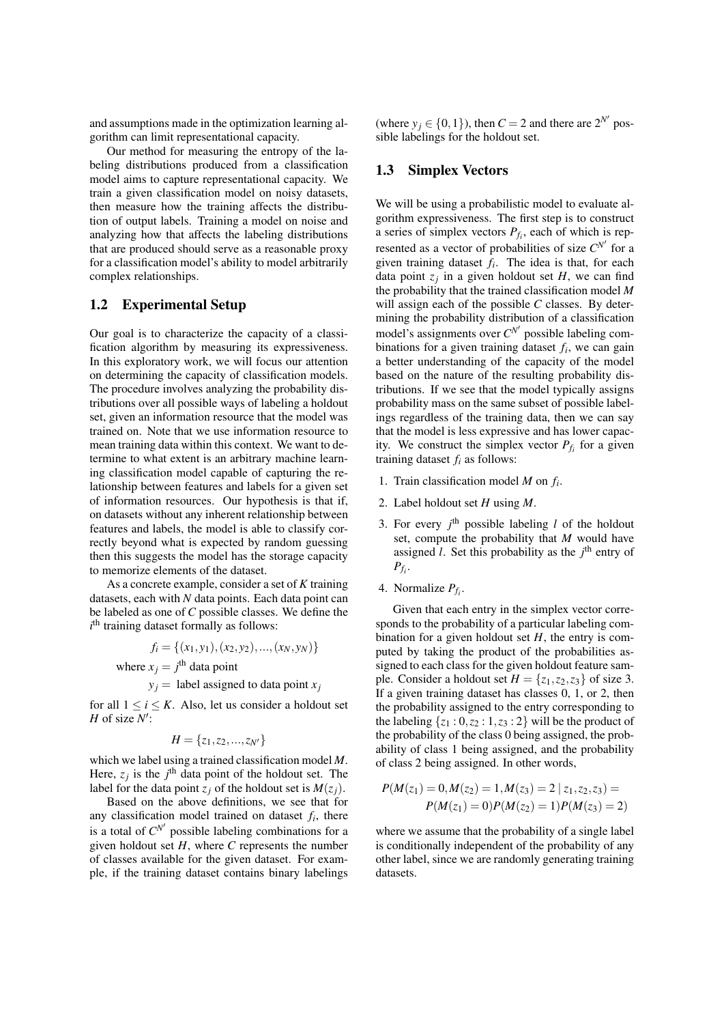and assumptions made in the optimization learning algorithm can limit representational capacity.

Our method for measuring the entropy of the labeling distributions produced from a classification model aims to capture representational capacity. We train a given classification model on noisy datasets, then measure how the training affects the distribution of output labels. Training a model on noise and analyzing how that affects the labeling distributions that are produced should serve as a reasonable proxy for a classification model's ability to model arbitrarily complex relationships.

### 1.2 Experimental Setup

Our goal is to characterize the capacity of a classification algorithm by measuring its expressiveness. In this exploratory work, we will focus our attention on determining the capacity of classification models. The procedure involves analyzing the probability distributions over all possible ways of labeling a holdout set, given an information resource that the model was trained on. Note that we use information resource to mean training data within this context. We want to determine to what extent is an arbitrary machine learning classification model capable of capturing the relationship between features and labels for a given set of information resources. Our hypothesis is that if, on datasets without any inherent relationship between features and labels, the model is able to classify correctly beyond what is expected by random guessing then this suggests the model has the storage capacity to memorize elements of the dataset.

As a concrete example, consider a set of *K* training datasets, each with *N* data points. Each data point can be labeled as one of *C* possible classes. We define the  $i<sup>th</sup>$  training dataset formally as follows:

> $f_i = \{(x_1, y_1), (x_2, y_2), ..., (x_N, y_N)\}$ where  $x_j = j^{\text{th}}$  data point  $y_j$  = label assigned to data point  $x_j$

for all  $1 \le i \le K$ . Also, let us consider a holdout set *H* of size  $N'$ :

$$
H = \{z_1, z_2, ..., z_{N'}\}
$$

which we label using a trained classification model *M*. Here,  $z_j$  is the  $j^{\text{th}}$  data point of the holdout set. The label for the data point  $z_j$  of the holdout set is  $M(z_j)$ .

Based on the above definitions, we see that for any classification model trained on dataset  $f_i$ , there is a total of  $C^{N'}$  possible labeling combinations for a given holdout set  $H$ , where  $C$  represents the number of classes available for the given dataset. For example, if the training dataset contains binary labelings (where  $y_j \in \{0, 1\}$ ), then  $C = 2$  and there are  $2^{N'}$  possible labelings for the holdout set.

#### <span id="page-1-0"></span>1.3 Simplex Vectors

We will be using a probabilistic model to evaluate algorithm expressiveness. The first step is to construct a series of simplex vectors  $P_{f_i}$ , each of which is represented as a vector of probabilities of size  $C^{N'}$  for a given training dataset  $f_i$ . The idea is that, for each data point  $z_j$  in a given holdout set  $H$ , we can find the probability that the trained classification model *M* will assign each of the possible *C* classes. By determining the probability distribution of a classification model's assignments over  $C^{N'}$  possible labeling combinations for a given training dataset  $f_i$ , we can gain a better understanding of the capacity of the model based on the nature of the resulting probability distributions. If we see that the model typically assigns probability mass on the same subset of possible labelings regardless of the training data, then we can say that the model is less expressive and has lower capacity. We construct the simplex vector  $P_{f_i}$  for a given training dataset  $f_i$  as follows:

- 1. Train classification model *M* on *f<sup>i</sup>* .
- 2. Label holdout set *H* using *M*.
- 3. For every  $j^{\text{th}}$  possible labeling  $l$  of the holdout set, compute the probability that *M* would have assigned  $l$ . Set this probability as the  $j<sup>th</sup>$  entry of  $P_{f_i}$ .
- 4. Normalize  $P_{f_i}$ .

Given that each entry in the simplex vector corresponds to the probability of a particular labeling combination for a given holdout set  $H$ , the entry is computed by taking the product of the probabilities assigned to each class for the given holdout feature sample. Consider a holdout set  $H = \{z_1, z_2, z_3\}$  of size 3. If a given training dataset has classes 0, 1, or 2, then the probability assigned to the entry corresponding to the labeling  $\{z_1: 0, z_2: 1, z_3: 2\}$  will be the product of the probability of the class 0 being assigned, the probability of class 1 being assigned, and the probability of class 2 being assigned. In other words,

$$
P(M(z_1) = 0, M(z_2) = 1, M(z_3) = 2 | z_1, z_2, z_3) =
$$
  
 
$$
P(M(z_1) = 0)P(M(z_2) = 1)P(M(z_3) = 2)
$$

where we assume that the probability of a single label is conditionally independent of the probability of any other label, since we are randomly generating training datasets.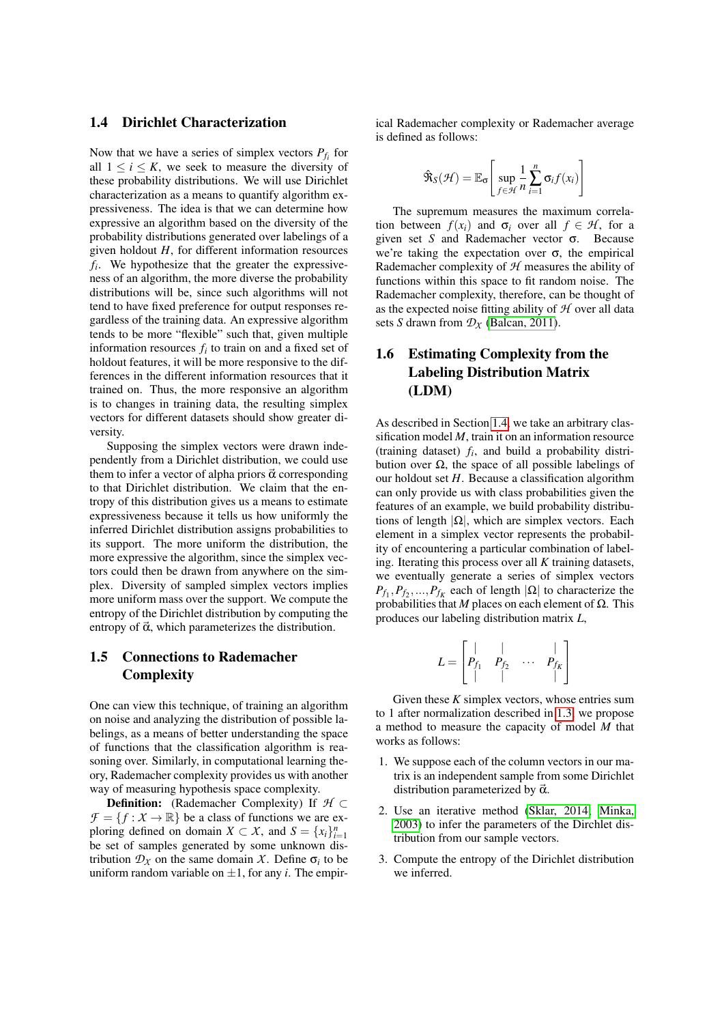#### <span id="page-2-0"></span>1.4 Dirichlet Characterization

Now that we have a series of simplex vectors  $P_{f_i}$  for all  $1 \le i \le K$ , we seek to measure the diversity of these probability distributions. We will use Dirichlet characterization as a means to quantify algorithm expressiveness. The idea is that we can determine how expressive an algorithm based on the diversity of the probability distributions generated over labelings of a given holdout *H*, for different information resources  $f_i$ . We hypothesize that the greater the expressiveness of an algorithm, the more diverse the probability distributions will be, since such algorithms will not tend to have fixed preference for output responses regardless of the training data. An expressive algorithm tends to be more "flexible" such that, given multiple information resources  $f_i$  to train on and a fixed set of holdout features, it will be more responsive to the differences in the different information resources that it trained on. Thus, the more responsive an algorithm is to changes in training data, the resulting simplex vectors for different datasets should show greater diversity.

Supposing the simplex vectors were drawn independently from a Dirichlet distribution, we could use them to infer a vector of alpha priors  $\vec{\alpha}$  corresponding to that Dirichlet distribution. We claim that the entropy of this distribution gives us a means to estimate expressiveness because it tells us how uniformly the inferred Dirichlet distribution assigns probabilities to its support. The more uniform the distribution, the more expressive the algorithm, since the simplex vectors could then be drawn from anywhere on the simplex. Diversity of sampled simplex vectors implies more uniform mass over the support. We compute the entropy of the Dirichlet distribution by computing the entropy of  $\vec{\alpha}$ , which parameterizes the distribution.

## 1.5 Connections to Rademacher **Complexity**

One can view this technique, of training an algorithm on noise and analyzing the distribution of possible labelings, as a means of better understanding the space of functions that the classification algorithm is reasoning over. Similarly, in computational learning theory, Rademacher complexity provides us with another way of measuring hypothesis space complexity.

Definition: (Rademacher Complexity) If *H* ⊂  $\mathcal{F} = \{f : X \to \mathbb{R}\}$  be a class of functions we are exploring defined on domain *X*  $\subset X$ , and *S* = {*x<sub>i</sub>*}<sup>*n*</sup><sub>*i*=1</sub></sub> be set of samples generated by some unknown distribution  $\mathcal{D}_\chi$  on the same domain *X*. Define  $\sigma_i$  to be uniform random variable on  $\pm 1$ , for any *i*. The empirical Rademacher complexity or Rademacher average is defined as follows:

$$
\hat{\mathbf{R}}_S(\mathcal{H}) = \mathbb{E}_{\sigma} \left[ \sup_{f \in \mathcal{H}} \frac{1}{n} \sum_{i=1}^n \sigma_i f(x_i) \right]
$$

The supremum measures the maximum correlation between  $f(x_i)$  and  $\sigma_i$  over all  $f \in \mathcal{H}$ , for a given set *S* and Rademacher vector σ. Because we're taking the expectation over  $\sigma$ , the empirical Rademacher complexity of *H* measures the ability of functions within this space to fit random noise. The Rademacher complexity, therefore, can be thought of as the expected noise fitting ability of *H* over all data sets *S* drawn from  $\mathcal{D}_X$  [\(Balcan, 2011\)](#page-6-0).

# 1.6 Estimating Complexity from the Labeling Distribution Matrix (LDM)

As described in Section [1.4,](#page-2-0) we take an arbitrary classification model *M*, train it on an information resource (training dataset)  $f_i$ , and build a probability distribution over  $\Omega$ , the space of all possible labelings of our holdout set *H*. Because a classification algorithm can only provide us with class probabilities given the features of an example, we build probability distributions of length  $|\Omega|$ , which are simplex vectors. Each element in a simplex vector represents the probability of encountering a particular combination of labeling. Iterating this process over all *K* training datasets, we eventually generate a series of simplex vectors  $P_{f_1}, P_{f_2}, \ldots, P_{f_K}$  each of length  $|\Omega|$  to characterize the probabilities that *M* places on each element of Ω. This produces our labeling distribution matrix *L*,

$$
L = \begin{bmatrix} | & | & & | \\ P_{f_1} & P_{f_2} & \cdots & P_{f_K} \\ | & | & & | \end{bmatrix}
$$

Given these  $K$  simplex vectors, whose entries sum to 1 after normalization described in [1.3,](#page-1-0) we propose a method to measure the capacity of model *M* that works as follows:

- 1. We suppose each of the column vectors in our matrix is an independent sample from some Dirichlet distribution parameterized by  $\vec{\alpha}$ .
- 2. Use an iterative method [\(Sklar, 2014;](#page-6-1) [Minka,](#page-6-2) [2003\)](#page-6-2) to infer the parameters of the Dirchlet distribution from our sample vectors.
- 3. Compute the entropy of the Dirichlet distribution we inferred.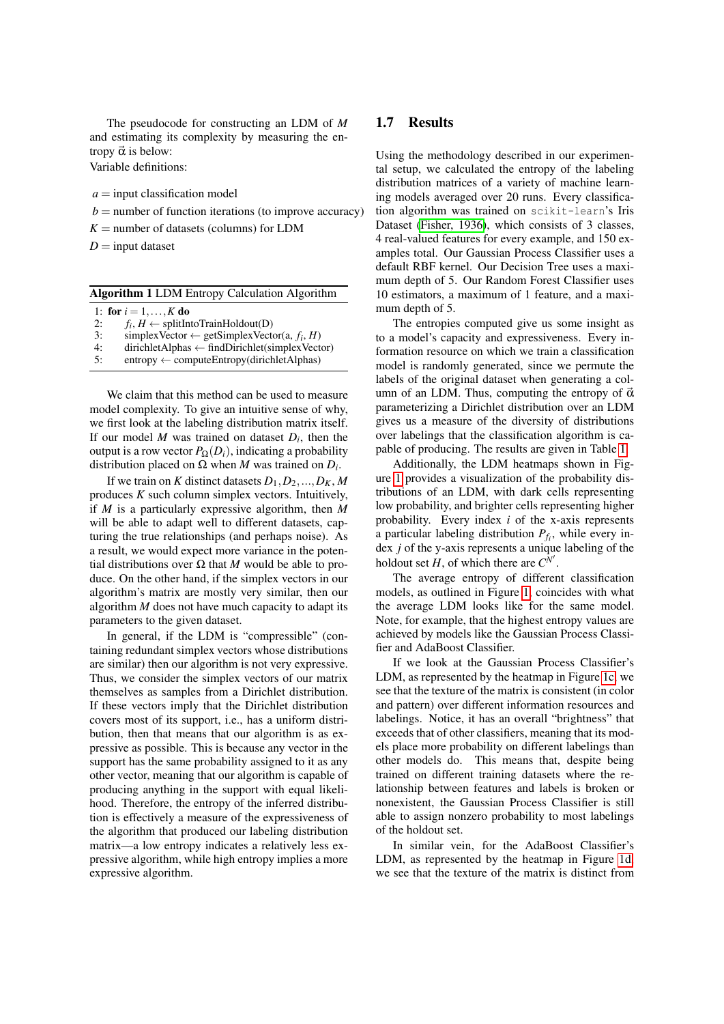The pseudocode for constructing an LDM of *M* and estimating its complexity by measuring the entropy  $\vec{\alpha}$  is below:

Variable definitions:

 $a =$ input classification model

- $b =$  number of function iterations (to improve accuracy)
- $K =$  number of datasets (columns) for LDM

 $D =$ input dataset

|  |  |  |  | <b>Algorithm 1 LDM Entropy Calculation Algorithm</b> |  |
|--|--|--|--|------------------------------------------------------|--|
|--|--|--|--|------------------------------------------------------|--|

|  | 1: for $i = 1, , K$ do |  |  |  |  |
|--|------------------------|--|--|--|--|
|--|------------------------|--|--|--|--|

- 2:  $f_i$ ,  $H \leftarrow$  splitIntoTrainHoldout(D)
- 3: simplex Vector  $\leftarrow$  getSimplex Vector(a,  $f_i$ , *H*)
- 4: dirichletAlphas ← findDirichlet(simplexVector)

5: entropy  $\leftarrow$  computeEntropy(dirichletAlphas)

We claim that this method can be used to measure model complexity. To give an intuitive sense of why, we first look at the labeling distribution matrix itself. If our model  $M$  was trained on dataset  $D_i$ , then the output is a row vector  $P_{\Omega}(D_i)$ , indicating a probability distribution placed on Ω when *M* was trained on *D<sup>i</sup>* .

If we train on *K* distinct datasets  $D_1, D_2, ..., D_K, M$ produces *K* such column simplex vectors. Intuitively, if *M* is a particularly expressive algorithm, then *M* will be able to adapt well to different datasets, capturing the true relationships (and perhaps noise). As a result, we would expect more variance in the potential distributions over Ω that *M* would be able to produce. On the other hand, if the simplex vectors in our algorithm's matrix are mostly very similar, then our algorithm *M* does not have much capacity to adapt its parameters to the given dataset.

In general, if the LDM is "compressible" (containing redundant simplex vectors whose distributions are similar) then our algorithm is not very expressive. Thus, we consider the simplex vectors of our matrix themselves as samples from a Dirichlet distribution. If these vectors imply that the Dirichlet distribution covers most of its support, i.e., has a uniform distribution, then that means that our algorithm is as expressive as possible. This is because any vector in the support has the same probability assigned to it as any other vector, meaning that our algorithm is capable of producing anything in the support with equal likelihood. Therefore, the entropy of the inferred distribution is effectively a measure of the expressiveness of the algorithm that produced our labeling distribution matrix—a low entropy indicates a relatively less expressive algorithm, while high entropy implies a more expressive algorithm.

#### 1.7 Results

Using the methodology described in our experimental setup, we calculated the entropy of the labeling distribution matrices of a variety of machine learning models averaged over 20 runs. Every classification algorithm was trained on scikit-learn's Iris Dataset [\(Fisher, 1936\)](#page-6-3), which consists of 3 classes, 4 real-valued features for every example, and 150 examples total. Our Gaussian Process Classifier uses a default RBF kernel. Our Decision Tree uses a maximum depth of 5. Our Random Forest Classifier uses 10 estimators, a maximum of 1 feature, and a maximum depth of 5.

The entropies computed give us some insight as to a model's capacity and expressiveness. Every information resource on which we train a classification model is randomly generated, since we permute the labels of the original dataset when generating a column of an LDM. Thus, computing the entropy of  $\vec{\alpha}$ parameterizing a Dirichlet distribution over an LDM gives us a measure of the diversity of distributions over labelings that the classification algorithm is capable of producing. The results are given in Table [1.](#page-4-0)

Additionally, the LDM heatmaps shown in Figure [1](#page-4-1) provides a visualization of the probability distributions of an LDM, with dark cells representing low probability, and brighter cells representing higher probability. Every index *i* of the x-axis represents a particular labeling distribution *Pf<sup>i</sup>* , while every index *j* of the y-axis represents a unique labeling of the holdout set  $H$ , of which there are  $C^{N'}$ .

The average entropy of different classification models, as outlined in Figure [1,](#page-4-0) coincides with what the average LDM looks like for the same model. Note, for example, that the highest entropy values are achieved by models like the Gaussian Process Classifier and AdaBoost Classifier.

If we look at the Gaussian Process Classifier's LDM, as represented by the heatmap in Figure [1c,](#page-4-1) we see that the texture of the matrix is consistent (in color and pattern) over different information resources and labelings. Notice, it has an overall "brightness" that exceeds that of other classifiers, meaning that its models place more probability on different labelings than other models do. This means that, despite being trained on different training datasets where the relationship between features and labels is broken or nonexistent, the Gaussian Process Classifier is still able to assign nonzero probability to most labelings of the holdout set.

In similar vein, for the AdaBoost Classifier's LDM, as represented by the heatmap in Figure [1d,](#page-4-1) we see that the texture of the matrix is distinct from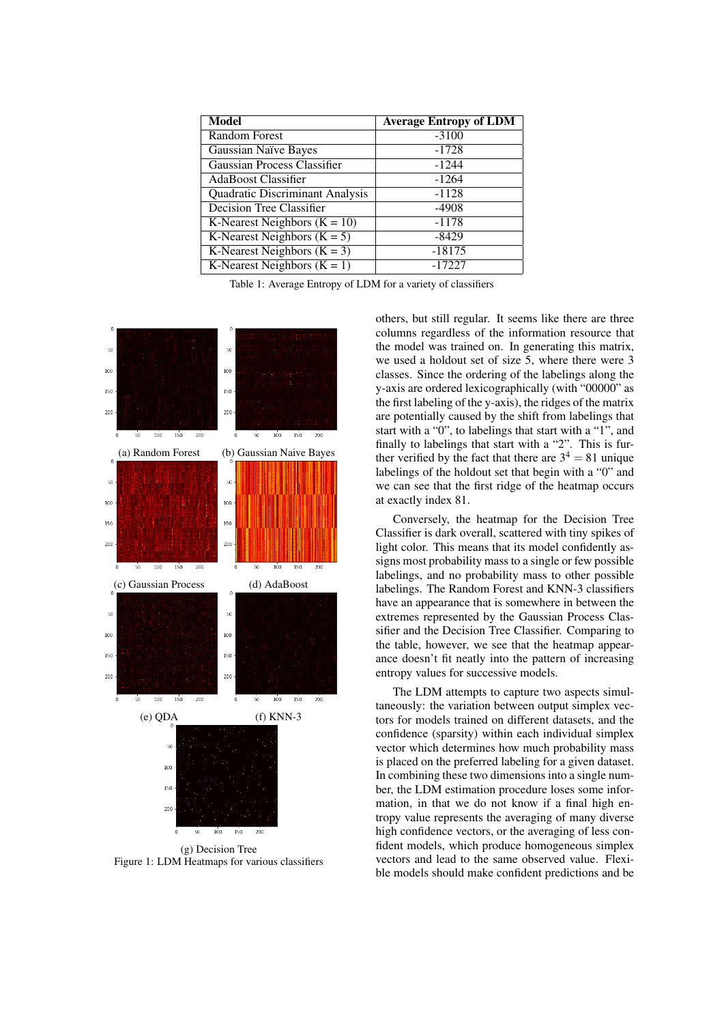<span id="page-4-0"></span>

| <b>Model</b>                    | <b>Average Entropy of LDM</b> |
|---------------------------------|-------------------------------|
| <b>Random Forest</b>            | $-3100$                       |
| Gaussian Naïve Bayes            | $-1728$                       |
| Gaussian Process Classifier     | $-1244$                       |
| AdaBoost Classifier             | $-1264$                       |
| Quadratic Discriminant Analysis | $-1128$                       |
| Decision Tree Classifier        | $-4908$                       |
| K-Nearest Neighbors $(K = 10)$  | $-1178$                       |
| K-Nearest Neighbors $(K = 5)$   | $-8429$                       |
| K-Nearest Neighbors $(K = 3)$   | $-18175$                      |
| K-Nearest Neighbors $(K = 1)$   | $-17227$                      |

Table 1: Average Entropy of LDM for a variety of classifiers

<span id="page-4-1"></span>

Figure 1: LDM Heatmaps for various classifiers

others, but still regular. It seems like there are three columns regardless of the information resource that the model was trained on. In generating this matrix, we used a holdout set of size 5, where there were 3 classes. Since the ordering of the labelings along the y-axis are ordered lexicographically (with "00000" as the first labeling of the y-axis), the ridges of the matrix are potentially caused by the shift from labelings that start with a "0", to labelings that start with a "1", and finally to labelings that start with a "2". This is further verified by the fact that there are  $3^4 = 81$  unique labelings of the holdout set that begin with a "0" and we can see that the first ridge of the heatmap occurs at exactly index 81.

Conversely, the heatmap for the Decision Tree Classifier is dark overall, scattered with tiny spikes of light color. This means that its model confidently assigns most probability mass to a single or few possible labelings, and no probability mass to other possible labelings. The Random Forest and KNN-3 classifiers have an appearance that is somewhere in between the extremes represented by the Gaussian Process Classifier and the Decision Tree Classifier. Comparing to the table, however, we see that the heatmap appearance doesn't fit neatly into the pattern of increasing entropy values for successive models.

The LDM attempts to capture two aspects simultaneously: the variation between output simplex vectors for models trained on different datasets, and the confidence (sparsity) within each individual simplex vector which determines how much probability mass is placed on the preferred labeling for a given dataset. In combining these two dimensions into a single number, the LDM estimation procedure loses some information, in that we do not know if a final high entropy value represents the averaging of many diverse high confidence vectors, or the averaging of less confident models, which produce homogeneous simplex vectors and lead to the same observed value. Flexible models should make confident predictions and be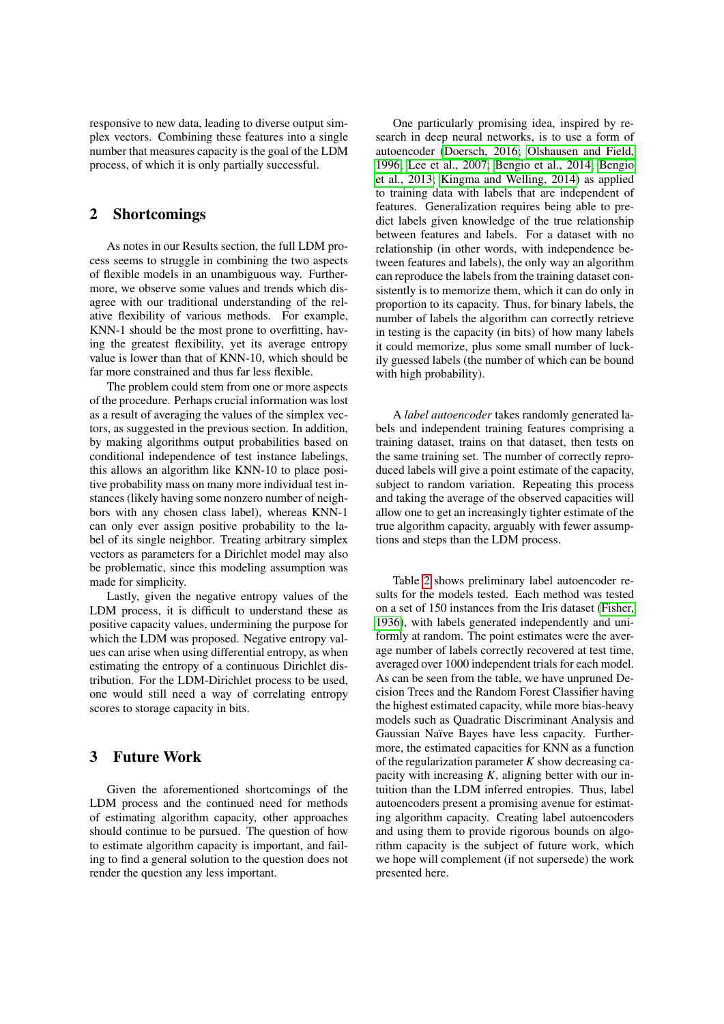responsive to new data, leading to diverse output simplex vectors. Combining these features into a single number that measures capacity is the goal of the LDM process, of which it is only partially successful.

### 2 Shortcomings

As notes in our Results section, the full LDM process seems to struggle in combining the two aspects of flexible models in an unambiguous way. Furthermore, we observe some values and trends which disagree with our traditional understanding of the relative flexibility of various methods. For example, KNN-1 should be the most prone to overfitting, having the greatest flexibility, yet its average entropy value is lower than that of KNN-10, which should be far more constrained and thus far less flexible.

The problem could stem from one or more aspects of the procedure. Perhaps crucial information was lost as a result of averaging the values of the simplex vectors, as suggested in the previous section. In addition, by making algorithms output probabilities based on conditional independence of test instance labelings, this allows an algorithm like KNN-10 to place positive probability mass on many more individual test instances (likely having some nonzero number of neighbors with any chosen class label), whereas KNN-1 can only ever assign positive probability to the label of its single neighbor. Treating arbitrary simplex vectors as parameters for a Dirichlet model may also be problematic, since this modeling assumption was made for simplicity.

Lastly, given the negative entropy values of the LDM process, it is difficult to understand these as positive capacity values, undermining the purpose for which the LDM was proposed. Negative entropy values can arise when using differential entropy, as when estimating the entropy of a continuous Dirichlet distribution. For the LDM-Dirichlet process to be used, one would still need a way of correlating entropy scores to storage capacity in bits.

## 3 Future Work

Given the aforementioned shortcomings of the LDM process and the continued need for methods of estimating algorithm capacity, other approaches should continue to be pursued. The question of how to estimate algorithm capacity is important, and failing to find a general solution to the question does not render the question any less important.

One particularly promising idea, inspired by research in deep neural networks, is to use a form of autoencoder [\(Doersch, 2016;](#page-6-4) [Olshausen and Field,](#page-6-5) [1996;](#page-6-5) [Lee et al., 2007;](#page-6-6) [Bengio et al., 2014;](#page-6-7) [Bengio](#page-6-8) [et al., 2013;](#page-6-8) [Kingma and Welling, 2014\)](#page-6-9) as applied to training data with labels that are independent of features. Generalization requires being able to predict labels given knowledge of the true relationship between features and labels. For a dataset with no relationship (in other words, with independence between features and labels), the only way an algorithm can reproduce the labels from the training dataset consistently is to memorize them, which it can do only in proportion to its capacity. Thus, for binary labels, the number of labels the algorithm can correctly retrieve in testing is the capacity (in bits) of how many labels it could memorize, plus some small number of luckily guessed labels (the number of which can be bound with high probability).

A *label autoencoder* takes randomly generated labels and independent training features comprising a training dataset, trains on that dataset, then tests on the same training set. The number of correctly reproduced labels will give a point estimate of the capacity, subject to random variation. Repeating this process and taking the average of the observed capacities will allow one to get an increasingly tighter estimate of the true algorithm capacity, arguably with fewer assumptions and steps than the LDM process.

Table [2](#page-6-10) shows preliminary label autoencoder results for the models tested. Each method was tested on a set of 150 instances from the Iris dataset [\(Fisher,](#page-6-3) [1936\)](#page-6-3), with labels generated independently and uniformly at random. The point estimates were the average number of labels correctly recovered at test time, averaged over 1000 independent trials for each model. As can be seen from the table, we have unpruned Decision Trees and the Random Forest Classifier having the highest estimated capacity, while more bias-heavy models such as Quadratic Discriminant Analysis and Gaussian Naïve Bayes have less capacity. Furthermore, the estimated capacities for KNN as a function of the regularization parameter *K* show decreasing capacity with increasing *K*, aligning better with our intuition than the LDM inferred entropies. Thus, label autoencoders present a promising avenue for estimating algorithm capacity. Creating label autoencoders and using them to provide rigorous bounds on algorithm capacity is the subject of future work, which we hope will complement (if not supersede) the work presented here.